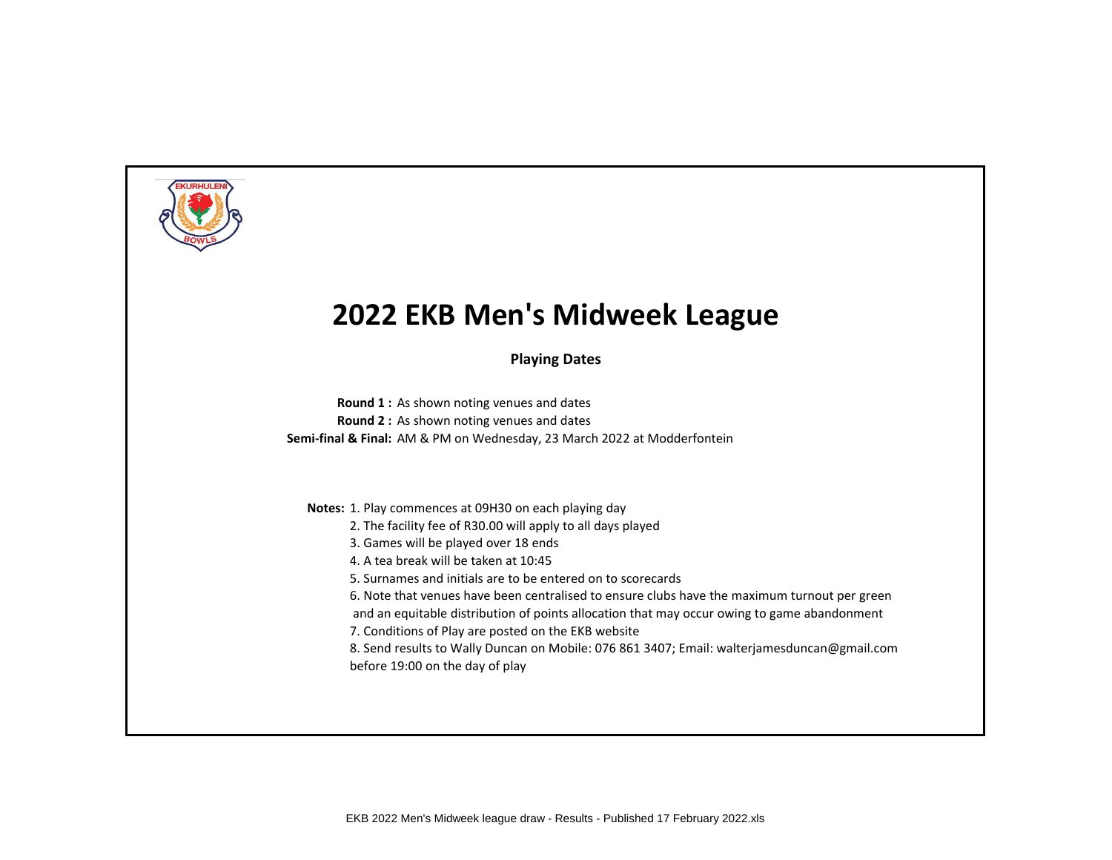

**Playing Dates**

**Round 1 :** As shown noting venues and dates **Round 2 :** As shown noting venues and dates **Semi-final & Final:** AM & PM on Wednesday, 23 March 2022 at Modderfontein

**Notes:** 1. Play commences at 09H30 on each playing day

- 2. The facility fee of R30.00 will apply to all days played
- 3. Games will be played over 18 ends
- 4. A tea break will be taken at 10:45
- 5. Surnames and initials are to be entered on to scorecards
- 6. Note that venues have been centralised to ensure clubs have the maximum turnout per green
- and an equitable distribution of points allocation that may occur owing to game abandonment
- 7. Conditions of Play are posted on the EKB website
- 8. Send results to Wally Duncan on Mobile: 076 861 3407; Email: walterjamesduncan@gmail.com before 19:00 on the day of play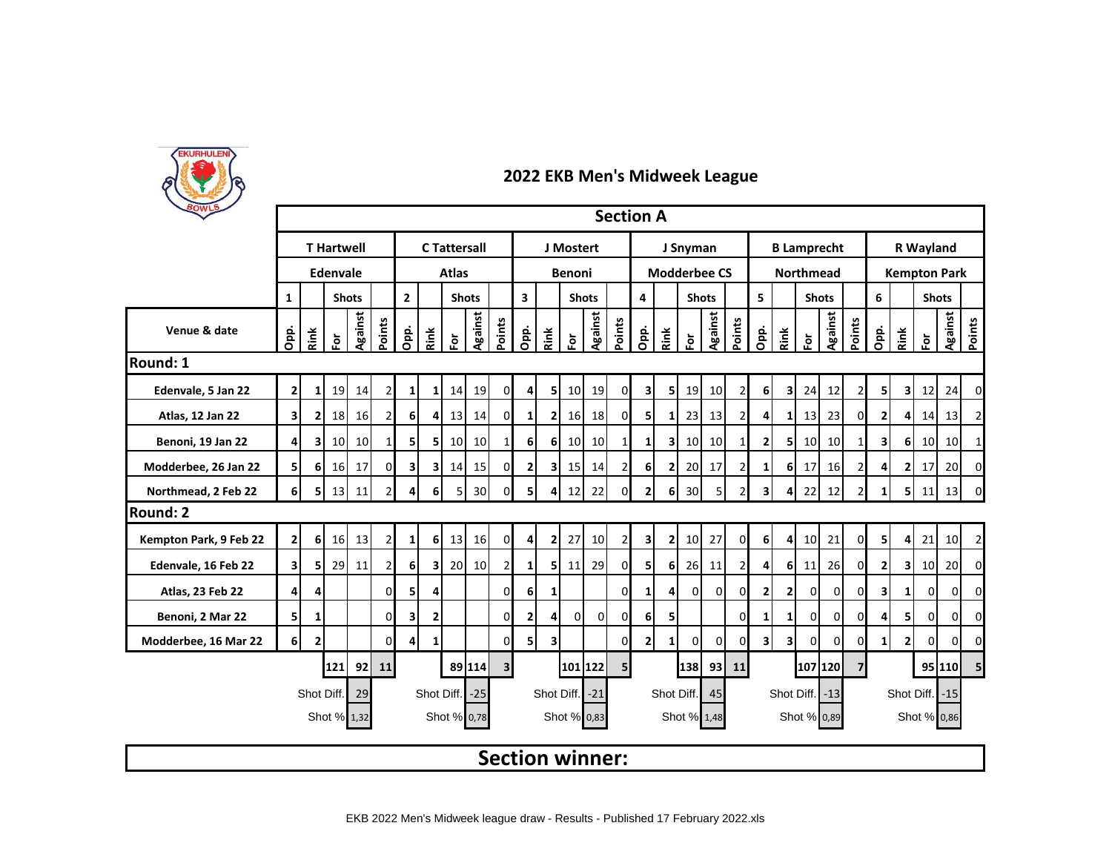

| <b>POWLS</b>           |                                                                                        |                         |                   |                |                |                              |                         |                     |                 |                                         |                 |                         |                        |                 |                | <b>Section A</b>    |              |          |                |                |                         |                         |                    |                 |                |                         |                     |                      |                     |                |  |
|------------------------|----------------------------------------------------------------------------------------|-------------------------|-------------------|----------------|----------------|------------------------------|-------------------------|---------------------|-----------------|-----------------------------------------|-----------------|-------------------------|------------------------|-----------------|----------------|---------------------|--------------|----------|----------------|----------------|-------------------------|-------------------------|--------------------|-----------------|----------------|-------------------------|---------------------|----------------------|---------------------|----------------|--|
|                        |                                                                                        |                         | <b>T</b> Hartwell |                |                |                              |                         | <b>C</b> Tattersall |                 |                                         |                 |                         | J Mostert              |                 |                | J Snyman            |              |          |                |                |                         |                         | <b>B Lamprecht</b> |                 |                | R Wayland               |                     |                      |                     |                |  |
|                        |                                                                                        |                         | Edenvale          |                |                |                              |                         | <b>Atlas</b>        |                 |                                         |                 |                         | Benoni                 |                 |                | <b>Modderbee CS</b> |              |          |                |                |                         |                         | <b>Northmead</b>   |                 |                |                         |                     |                      | <b>Kempton Park</b> |                |  |
|                        | 1                                                                                      |                         |                   | <b>Shots</b>   |                | $\mathbf{2}$<br><b>Shots</b> |                         |                     |                 | $\overline{\mathbf{3}}$<br><b>Shots</b> |                 |                         |                        |                 | 4              |                     | <b>Shots</b> |          |                | 5              |                         | <b>Shots</b>            |                    |                 | 6              |                         |                     | <b>Shots</b>         |                     |                |  |
| Venue & date           | Opp.                                                                                   | Rink                    | $\bf \bar{e}$     | <b>Against</b> | Points         | Opp.                         | Rink                    | è                   | Against         | Points                                  | Opp.            | Rink                    | ទ្                     | <b>Against</b>  | Points         | Opp.                | Rink         | 훈        | <b>Against</b> | Points         | Opp.                    | Rink                    | 효                  | Against         | Points         | Opi.                    | Rink                | $\mathbf{\tilde{e}}$ | <b>Against</b>      | Points         |  |
| <b>Round: 1</b>        |                                                                                        |                         |                   |                |                |                              |                         |                     |                 |                                         |                 |                         |                        |                 |                |                     |              |          |                |                |                         |                         |                    |                 |                |                         |                     |                      |                     |                |  |
| Edenvale, 5 Jan 22     | $\mathbf{2}$                                                                           | 1 <sup>1</sup>          | 19                | 14             | $\overline{2}$ | $1\vert$                     | $1\vert$                | 14                  | 19              | 0                                       | 4               | 5                       | 10                     | 19              | $\overline{0}$ | 3                   | 5            | 19       | 10             | 2              | 6                       | 3 <sup>1</sup>          | 24                 | 12              | 21             | 51                      | 31                  | 12                   | 24                  | $\mathbf 0$    |  |
| Atlas, 12 Jan 22       | $\overline{\mathbf{3}}$                                                                | $\overline{2}$          | 18                | <b>16</b>      | $\overline{2}$ | 6 <sup>1</sup>               | 4                       | 13                  | 14              | $\mathbf{0}$                            | $\mathbf{1}$    | 2                       | 16                     | 18              | $\overline{0}$ | 5                   | $\mathbf{1}$ | 23       | 13             | $\overline{2}$ | 4                       | $\mathbf{1}$            | 13                 | 23              | 01             | $\overline{2}$          | 4                   | 14                   | 13                  | $\overline{2}$ |  |
| Benoni, 19 Jan 22      | 4                                                                                      | $\overline{\mathbf{3}}$ | 10 <sup>1</sup>   | 10             |                | 5                            | 5                       | 10                  | 10 <sup>1</sup> | $\mathbf{1}$                            | 6               | 6 <sup>1</sup>          | 10                     | 10 <sup>1</sup> | $1\vert$       | $\mathbf{1}$        | 3            | 10       | 10             | 1              | 2                       | 51                      | 10 <sup>1</sup>    | 10 <sup>1</sup> | 1              | $\overline{\mathbf{3}}$ | 6                   | 10                   | 10                  | 1              |  |
| Modderbee, 26 Jan 22   | 5 <sub>l</sub>                                                                         | 6                       | 16                | 17             | $\Omega$       | 3 <sup>1</sup>               | $\overline{\mathbf{3}}$ | 14                  | 15              | $\overline{0}$                          | $\mathbf{2}$    | $\overline{\mathbf{3}}$ | 15                     | 14              | $\overline{2}$ | 6                   | $\mathbf{2}$ | 20       | 17             | $\overline{2}$ | 1                       | 6                       | 17                 | 16              | $\overline{2}$ | 4                       | $\overline{2}$      | 17                   | 20                  | $\mathbf 0$    |  |
| Northmead, 2 Feb 22    | 6 <sup>1</sup>                                                                         | 51                      | 13                | 11             |                | 4                            | 6                       | 5                   | 30 <sup>l</sup> | 0                                       | 5               | $\overline{4}$          | 12                     | 22              | $\Omega$       | $\overline{2}$      | 6            | 30       | 5              | 2              | 3                       | 4                       | 22                 | 12              | 21             | 1 <sup>1</sup>          |                     | 5 11                 | 13                  | 0              |  |
| Round: 2               |                                                                                        |                         |                   |                |                |                              |                         |                     |                 |                                         |                 |                         |                        |                 |                |                     |              |          |                |                |                         |                         |                    |                 |                |                         |                     |                      |                     |                |  |
| Kempton Park, 9 Feb 22 | $\mathbf{2}$                                                                           | 6                       | 16                | 13             | $\overline{2}$ | $1\vert$                     | 6                       | 13                  | 16              | $\overline{0}$                          | 4               | $\mathbf{2}$            | 27                     | 10              | $\overline{2}$ | $\mathbf{3}$        | $\mathbf{2}$ | 10       | 27             | $\overline{0}$ | 6                       | 4                       | 10                 | 21              | 01             | 51                      | 4                   | 21                   | 10                  | $\mathbf 2$    |  |
| Edenvale, 16 Feb 22    | $\overline{\mathbf{3}}$                                                                | 5                       | 29                | 11             |                | 6 <sup>1</sup>               | 3                       | 20                  | 10 <sup>1</sup> | $\overline{2}$                          | $1\overline{ }$ | 51                      | 11                     | 29              | $\Omega$       | 5                   | 6            | 26       | 11             | 2              | 4                       | 6                       | 11                 | 26              | ΩI             | 2                       | 3                   | 10                   | 20                  | $\Omega$       |  |
| Atlas, 23 Feb 22       | 4                                                                                      | 4                       |                   |                | $\Omega$       | 5                            | 4                       |                     |                 | $\overline{0}$                          | 6               | $\mathbf{1}$            |                        |                 | $\Omega$       | $1\vert$            | 4            | $\Omega$ | $\mathbf 0$    | $\Omega$       | $\overline{2}$          | $\mathbf{2}$            | $\overline{0}$     | $\overline{0}$  | οI             | $\overline{\mathbf{3}}$ | 1 <sup>1</sup>      | $\overline{0}$       | οI                  | $\mathbf 0$    |  |
| Benoni, 2 Mar 22       | 5 <sub>l</sub>                                                                         | $\mathbf{1}$            |                   |                | $\Omega$       | $\overline{\mathbf{3}}$      | 2                       |                     |                 | 0                                       | $\mathbf{2}$    | $\overline{4}$          | 0l                     | $\overline{0}$  | $\overline{0}$ | 6 <sup>1</sup>      | 5            |          |                | 0              | 1                       | 1                       | $\overline{0}$     | $\overline{0}$  | ΟI             | 4                       | 51                  | $\mathbf{0}$         | $\overline{0}$      | 0              |  |
| Modderbee, 16 Mar 22   | 6 <sup>1</sup>                                                                         | $\mathbf{2}$            |                   |                | 0              | $\overline{4}$               | 1                       |                     |                 | $\Omega$                                | 5               | 3                       |                        |                 | $\Omega$       | $\overline{2}$      | $\mathbf{1}$ | $\Omega$ | 0              | $\mathbf 0$    | $\overline{\mathbf{3}}$ | $\overline{\mathbf{3}}$ | 0                  | $\Omega$        | 01             | $\mathbf{1}$            | 21                  | $\Omega$             | $\Omega$            | 0              |  |
|                        |                                                                                        |                         | 121               | 921            | <b>11</b>      |                              |                         |                     | 89 114          | 3 <sup>1</sup>                          |                 |                         | 101 122                |                 | 5 <sub>l</sub> |                     |              | 138      |                | 93 11          |                         |                         | 107 120            |                 |                |                         |                     |                      | 95 110              | 5 <sub>l</sub> |  |
|                        |                                                                                        | Shot Diff.              |                   | 29             |                |                              | Shot Diff.              |                     | $-25$           |                                         |                 |                         | Shot Diff.             | $-21$           |                |                     | Shot Diff.   |          | 45             |                |                         | Shot Diff.              |                    | $-13$           |                |                         | Shot Diff.<br>$-15$ |                      |                     |                |  |
|                        | Shot % 0,86<br>Shot % 1,32<br>Shot % 0,78<br>Shot % 0,83<br>Shot % 1,48<br>Shot % 0,89 |                         |                   |                |                |                              |                         |                     |                 |                                         |                 |                         |                        |                 |                |                     |              |          |                |                |                         |                         |                    |                 |                |                         |                     |                      |                     |                |  |
|                        |                                                                                        |                         |                   |                |                |                              |                         |                     |                 |                                         |                 |                         | <b>Section winner:</b> |                 |                |                     |              |          |                |                |                         |                         |                    |                 |                |                         |                     |                      |                     |                |  |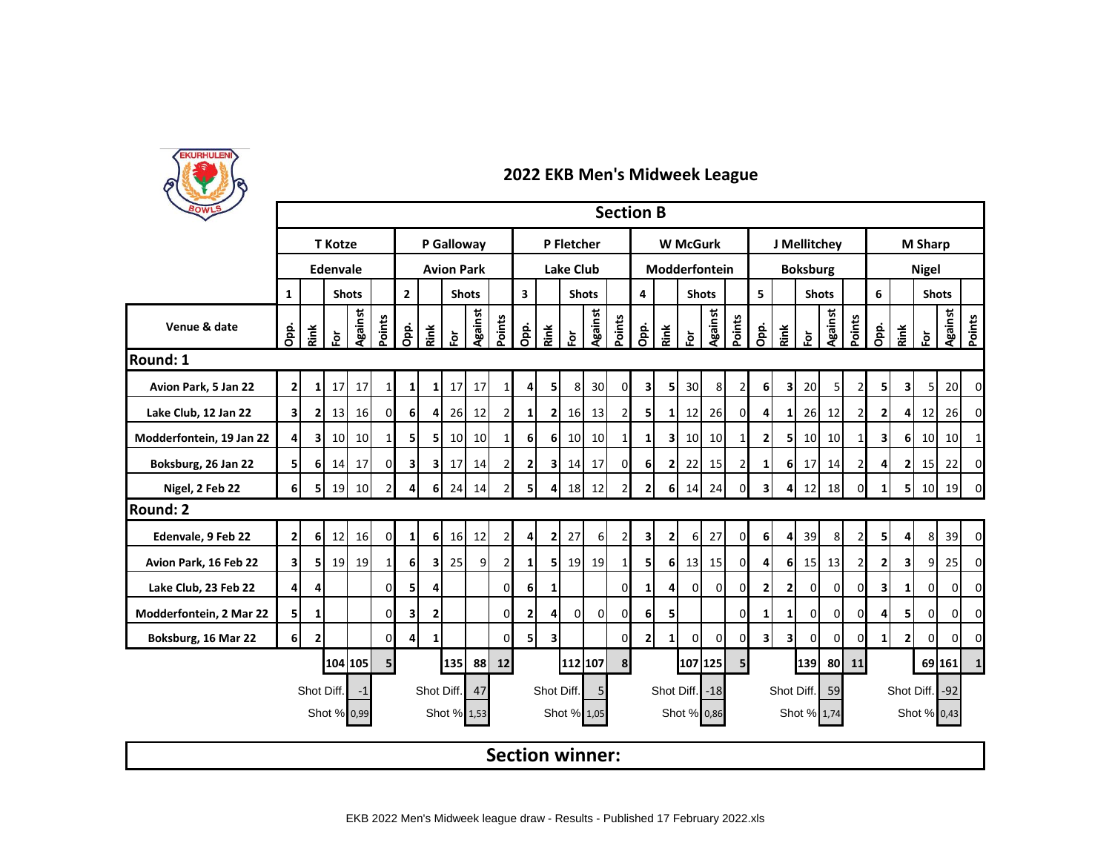

| BOWLS                    | <b>Section B</b><br>J Mellitchey<br><b>T</b> Kotze<br>P Galloway<br><b>W</b> McGurk |                |               |                 |                |                                |                |                   |                 |                                         |                  |                         |                |                        |                |                         |                |                      |               |                |              |                         |                 |                 |                |                |              |                |                 |                |  |
|--------------------------|-------------------------------------------------------------------------------------|----------------|---------------|-----------------|----------------|--------------------------------|----------------|-------------------|-----------------|-----------------------------------------|------------------|-------------------------|----------------|------------------------|----------------|-------------------------|----------------|----------------------|---------------|----------------|--------------|-------------------------|-----------------|-----------------|----------------|----------------|--------------|----------------|-----------------|----------------|--|
|                          |                                                                                     |                |               |                 |                |                                |                |                   |                 |                                         | P Fletcher       |                         |                |                        |                |                         |                |                      |               |                |              |                         |                 |                 |                | <b>M Sharp</b> |              |                |                 |                |  |
|                          |                                                                                     |                | Edenvale      |                 |                |                                |                | <b>Avion Park</b> |                 |                                         | <b>Lake Club</b> |                         |                |                        |                |                         |                |                      | Modderfontein |                |              |                         | <b>Boksburg</b> |                 | <b>Nigel</b>   |                |              |                |                 |                |  |
|                          | $\mathbf{1}$                                                                        |                |               | <b>Shots</b>    |                | $\overline{2}$<br><b>Shots</b> |                |                   |                 | $\overline{\mathbf{3}}$<br><b>Shots</b> |                  |                         |                | 4                      |                | <b>Shots</b>            |                |                      | 5             |                | <b>Shots</b> |                         |                 | 6               |                | <b>Shots</b>   |              |                |                 |                |  |
| Venue & date             | Opp.                                                                                | Rink           | $\bf \bar{e}$ | <b>Against</b>  | Points         | Opp.                           | Rink           | 효                 | <b>Against</b>  | Points                                  | Opp.             | Rink                    | 应              | Against                | Points         | Opp.                    | Rink           | $\mathbf{\tilde{e}}$ | Against       | Points         | Opp.         | Rink                    | 훈               | Against         | Points         | Opp.           | Rink         | $\bf \bar{e}$  | Against         | Points         |  |
| Round: 1                 |                                                                                     |                |               |                 |                |                                |                |                   |                 |                                         |                  |                         |                |                        |                |                         |                |                      |               |                |              |                         |                 |                 |                |                |              |                |                 |                |  |
| Avion Park, 5 Jan 22     | $\mathbf{2}$<br>17<br>17<br>1 <sup>1</sup><br>$\mathbf{1}$                          |                |               |                 |                | $1\vert$                       | 11             | 17                | 17              | 1                                       | 4                | 5                       | 8              | 30                     | $\Omega$       | 3                       | 5              | 30                   | 8             | 2              | 6            | $\overline{\mathbf{3}}$ | 20              | 5               |                | 51             | 31           | 5 <sub>l</sub> | 20              | $\mathbf 0$    |  |
| Lake Club, 12 Jan 22     | 31                                                                                  | $\mathbf{2}$   | 13            | 16              | $\Omega$       | 6 <sup>1</sup>                 | 41             | 26                | 12              | $\overline{2}$                          | 1                | $\mathbf{2}$            | 16             | 13                     | $\overline{2}$ | 5                       | 1              | 12                   | 26            | 0              | 4            | 1                       | 26              | 12              |                | $\overline{2}$ |              | 12             | 26              | $\overline{0}$ |  |
| Modderfontein, 19 Jan 22 | $\overline{4}$                                                                      | зI             | 10            | 10 <sup>1</sup> | $1\vert$       | 5 <sup>1</sup>                 | 5              | 10                | 10 <sup>1</sup> | $1\vert$                                | 6 <sup>1</sup>   | 6 <sup>1</sup>          | 10             | 10                     | $1\vert$       | $1\overline{ }$         | 3              | 10                   | 10            | 1              | $\mathbf{2}$ | 5                       | 10 <sup>1</sup> | 10 <sup>1</sup> | 1 <sup>1</sup> | зI             | <b>6</b>     | 10             | 10 <sup>1</sup> | $\mathbf 1$    |  |
| Boksburg, 26 Jan 22      | 51                                                                                  | 61             | 14            | 17              | $\mathbf{0}$   | $\overline{\mathbf{3}}$        | 31             | 17                | 14              | $\overline{2}$                          | $\mathbf{2}$     | 31                      | 14             | 17                     | 01             | 6                       | $\mathbf{2}$   | 22                   | 15            | 2              | 1            | 61                      | 17              | 14              |                | 41             | 21           | 15             | 22              | 0              |  |
| Nigel, 2 Feb 22          | 61                                                                                  | 51             | <b>19</b>     | 10              | $\overline{2}$ | 4                              | 6              | 24                | 14              | $\overline{2}$                          | 5                | 4                       | 18             | 12                     |                | $\overline{2}$          | 6              | 14                   | 24            | $\Omega$       | 3            | 4                       | 12              | 18              |                | 11             | 5            | 10             | 19              | $\Omega$       |  |
| <b>Round: 2</b>          |                                                                                     |                |               |                 |                |                                |                |                   |                 |                                         |                  |                         |                |                        |                |                         |                |                      |               |                |              |                         |                 |                 |                |                |              |                |                 |                |  |
| Edenvale, 9 Feb 22       | 2 <sup>1</sup>                                                                      | 6 <sup>1</sup> | 12            | 16              | $\overline{0}$ | 1 <sup>1</sup>                 | 6 <sup>1</sup> |                   | 16 12           | $\overline{2}$                          | $\overline{4}$   | 2                       | 27             | 6I                     | $\overline{2}$ | $\overline{\mathbf{3}}$ | $\overline{2}$ | 6                    | 27            | οI             | 6            | 4 <sup>1</sup>          | 39              | 8 <sup>1</sup>  | $\overline{2}$ | 51             | 4I           | 8              | 39              | $\mathbf 0$    |  |
| Avion Park, 16 Feb 22    | 31                                                                                  | 51             |               | 19 19           | $1\mathsf{I}$  | 6                              | 3 <sup>1</sup> | 25                | $\overline{9}$  | $\overline{2}$                          | 1 <sup>1</sup>   | 51                      | 19             | 19                     | 1 <sup>1</sup> | 5                       | 6              | 13                   | 15            | $\Omega$       | 4            | 6                       | 15              | 13              |                | ا 2            | 31           | 9              | 25              | $\overline{0}$ |  |
| Lake Club, 23 Feb 22     | $\overline{4}$                                                                      | $\overline{4}$ |               |                 | $\overline{0}$ | 5                              | 4              |                   |                 | $\Omega$                                | 6 <sup>1</sup>   | $\mathbf{1}$            |                |                        | οI             | $\mathbf{1}$            | $\vert$        | $\overline{0}$       | $\mathbf 0$   | 0              | $\mathbf{2}$ | 2                       | $\overline{0}$  | $\overline{0}$  | $\Omega$       | 3              | $\mathbf{1}$ | $\overline{0}$ | $\overline{0}$  | $\mathbf 0$    |  |
| Modderfontein, 2 Mar 22  | 51                                                                                  | 1              |               |                 | $\overline{0}$ | $\overline{\mathbf{3}}$        | 2              |                   |                 | $\Omega$                                | $\overline{2}$   | $\overline{4}$          | $\overline{0}$ | 0l                     | $\Omega$       | 6                       | 5              |                      |               | 0              | 1            | 1                       | $\overline{0}$  | $\Omega$        | 0              | 4              | 51           | 0              | $\overline{0}$  | 0              |  |
| Boksburg, 16 Mar 22      | 6 <sup>1</sup>                                                                      | $\mathbf{2}$   |               |                 | $\Omega$       | $\overline{4}$                 | $1\vert$       |                   |                 | $\Omega$                                | 5                | $\overline{\mathbf{3}}$ |                |                        | $\Omega$       | 2                       | 1              | $\overline{0}$       | 0             | 0              | 3            | $\overline{\mathbf{3}}$ | $\Omega$        | $\Omega$        | U              | 11             | 21           | $\Omega$       | οI              | 0              |  |
|                          |                                                                                     |                |               | 104 105         | 5 <sup>1</sup> |                                |                | 135               | 88              | 12                                      |                  |                         | 112 107        |                        | 8              |                         |                |                      | 107 125       | 5 <sub>l</sub> |              |                         | 139             | 80              | 11             |                |              |                | 69 161          | $\mathbf{1}$   |  |
|                          |                                                                                     | Shot Diff.     |               | -1              |                |                                | Shot Diff.     |                   | 47              |                                         |                  |                         | Shot Diff.     | 5 <sub>l</sub>         |                |                         | Shot Diff.     |                      | $-18$         |                |              | Shot Diff.              |                 | 59              |                | Shot Diff. -92 |              |                |                 |                |  |
|                          |                                                                                     |                |               | Shot % 0,99     |                |                                |                | Shot % 1,53       |                 |                                         |                  |                         |                | Shot % 1,05            |                |                         |                |                      | Shot % 0,86   |                |              |                         | Shot % 1,74     |                 |                |                |              | Shot % 0,43    |                 |                |  |
|                          |                                                                                     |                |               |                 |                |                                |                |                   |                 |                                         |                  |                         |                | <b>Section winner:</b> |                |                         |                |                      |               |                |              |                         |                 |                 |                |                |              |                |                 |                |  |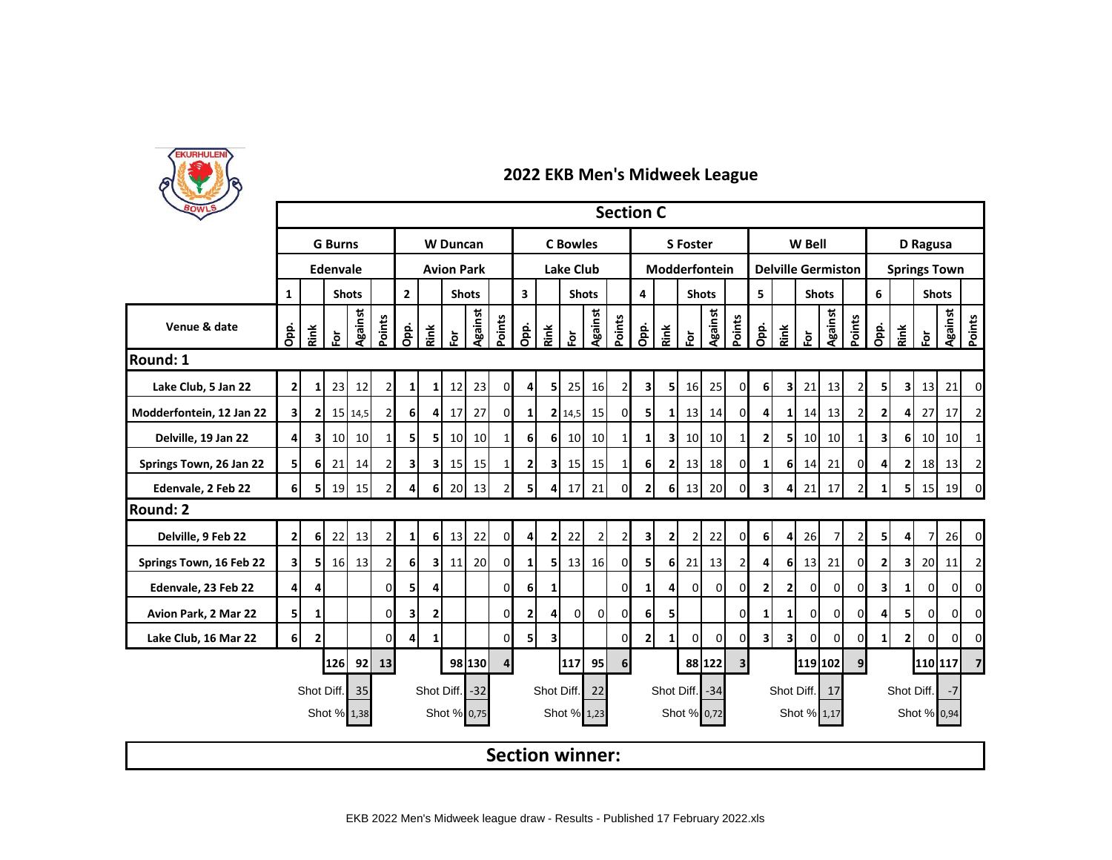

| BOWLS                    |                |                |                |                 |                |                                |                |                   |                 |                                         |                  |                |                        |                | <b>Section C</b> |                         |                |                      |                |                         |                         |                           |                 |                 |                     |                    |                         |               |                 |                         |  |
|--------------------------|----------------|----------------|----------------|-----------------|----------------|--------------------------------|----------------|-------------------|-----------------|-----------------------------------------|------------------|----------------|------------------------|----------------|------------------|-------------------------|----------------|----------------------|----------------|-------------------------|-------------------------|---------------------------|-----------------|-----------------|---------------------|--------------------|-------------------------|---------------|-----------------|-------------------------|--|
|                          |                |                | <b>G</b> Burns |                 |                |                                |                | <b>W</b> Duncan   |                 |                                         | <b>C</b> Bowles  |                |                        |                |                  |                         |                | <b>S</b> Foster      |                |                         |                         |                           | W Bell          |                 |                     | D Ragusa           |                         |               |                 |                         |  |
|                          |                |                | Edenvale       |                 |                |                                |                | <b>Avion Park</b> |                 |                                         | <b>Lake Club</b> |                |                        |                |                  | Modderfontein           |                |                      |                |                         |                         | <b>Delville Germiston</b> |                 |                 | <b>Springs Town</b> |                    |                         |               |                 |                         |  |
|                          | $\mathbf{1}$   |                |                | <b>Shots</b>    |                | $\overline{2}$<br><b>Shots</b> |                |                   |                 | $\overline{\mathbf{3}}$<br><b>Shots</b> |                  |                | 4                      |                | <b>Shots</b>     |                         |                | 5                    |                | <b>Shots</b>            |                         |                           | 6               |                 | <b>Shots</b>        |                    |                         |               |                 |                         |  |
| Venue & date             | Opp.           | Rink           | $\bf \bar{p}$  | <b>Against</b>  | Points         | Opp.                           | Rink           | 호                 | <b>Against</b>  | Points                                  | Opp.             | Rink           | 应                      | Against        | Points           | Opp.                    | Rink           | $\mathbf{\tilde{e}}$ | Against        | Points                  | Opp.                    | Rink                      | 훈               | Against         | Points              | Opp.               | Rink                    | $\bf \bar{e}$ | <b>Against</b>  | Points                  |  |
| Round: 1                 |                |                |                |                 |                |                                |                |                   |                 |                                         |                  |                |                        |                |                  |                         |                |                      |                |                         |                         |                           |                 |                 |                     |                    |                         |               |                 |                         |  |
| Lake Club, 5 Jan 22      | $\mathbf{2}$   | 1 <sup>1</sup> | 23             | 12              | $\overline{2}$ | $\mathbf{1}$                   | 11             | 12                | 23              | 0                                       | 4                | 5              | 25                     | 16             | $\overline{2}$   | 3                       | 5              | 16                   | 25             | $\Omega$                | 6                       | $\overline{\mathbf{3}}$   | 21              | 13              |                     | 51                 | $\overline{\mathbf{3}}$ | 13            | 21              | $\overline{0}$          |  |
| Modderfontein, 12 Jan 22 | 31             | 21             |                | 15 14,5         | $\overline{2}$ | 6 <sup>1</sup>                 | 41             | 17                | 27              | $\mathbf 0$                             | $1\vert$         |                | 2 14,5                 | 15             | ΟI               | 5                       | 1              | 13                   | 14             | 0                       | 4                       | 1                         | 14              | 13              |                     | $\mathbf{2}$       |                         | 27            | 17              | 2                       |  |
| Delville, 19 Jan 22      | 41             | зI             | 10             | 10 <sup>1</sup> | $1\vert$       | 5 <sup>1</sup>                 | 5              | 10                | 10 <sup>1</sup> | $1\vert$                                | 6 <sup>1</sup>   | 6 <sup>1</sup> | 10                     | 10             | $1\vert$         | $1\overline{ }$         | 3              | 10                   | 10             | 1                       | $\mathbf{2}$            | 5                         | 10 <sup>1</sup> | 10 <sup>1</sup> | 1 <sup>1</sup>      | зI                 | 6 <sup>1</sup>          | 10            | 10 <sup>1</sup> | $\mathbf 1$             |  |
| Springs Town, 26 Jan 22  | 51             | 61             | 21             | 14              | $\overline{2}$ | $\mathbf{3}$                   | 31             | 15                | 15              | $\mathbf{1}$                            | $\mathbf{2}$     | 31             | 15 <sub>l</sub>        | 15             | $1\vert$         | 6                       | $\mathbf{2}$   | 13                   | 18             | 0                       | 1                       | 61                        | 14              | 21              | $\Omega$            | 4                  | 21                      | 18            | 13              | $\overline{2}$          |  |
| Edenvale, 2 Feb 22       | 61             | 51             | 19             | 15              | $\overline{2}$ | 4                              | 6              | 20                | 13              | $\overline{2}$                          | 5                | 4              | 17                     | 21             | <sub>0</sub>     | $\overline{2}$          | 6              | 13                   | 20             | $\Omega$                | 3                       | 4                         | 21              | 17              |                     | 1                  | 51                      | 15            | 19              | $\Omega$                |  |
| <b>Round: 2</b>          |                |                |                |                 |                |                                |                |                   |                 |                                         |                  |                |                        |                |                  |                         |                |                      |                |                         |                         |                           |                 |                 |                     |                    |                         |               |                 |                         |  |
| Delville, 9 Feb 22       | 2 <sup>1</sup> | 6 <sup>1</sup> | 22             | 13              | $\overline{2}$ | 1 <sup>1</sup>                 | 6 <sup>1</sup> |                   | 13 22           | $\overline{0}$                          | $\overline{4}$   | 2 <sup>1</sup> | 22                     | $\overline{2}$ | $\overline{2}$   | $\overline{\mathbf{3}}$ | $\mathbf{2}$   | $\overline{2}$       | 22             | οI                      | 6                       | 4 <sup>1</sup>            | <b>26</b>       | 7               | $\overline{2}$      | 5 <sup>1</sup>     | 41                      | 7             | 26              | $\mathbf 0$             |  |
| Springs Town, 16 Feb 22  | 31             | 51             |                | 16 13           | $\overline{2}$ | 6                              |                | $3$ 11            | 20              | $\overline{0}$                          | 1 <sup>1</sup>   | 51             | 13                     | 16             | 0                | 5                       | 6              | 21                   | 13             | 2                       | 4                       | 6                         | 13              | 21              | ΩI                  | 21                 | 3                       | 20            | 11              | 2                       |  |
| Edenvale, 23 Feb 22      | $\overline{4}$ | $\overline{4}$ |                |                 | $\overline{0}$ | 5                              | 4              |                   |                 | $\Omega$                                | 6 <sup>1</sup>   | $\mathbf{1}$   |                        |                | $\Omega$         | $\mathbf{1}$            | $\overline{4}$ | $\overline{0}$       | $\overline{0}$ | 0                       | 2                       | 2                         | 01              | $\overline{0}$  | $\Omega$            | 3                  | $\mathbf{1}$            | 0             | $\overline{0}$  | $\mathbf 0$             |  |
| Avion Park, 2 Mar 22     | 5              | 1              |                |                 | $\overline{0}$ | $\overline{\mathbf{3}}$        | 2              |                   |                 | $\Omega$                                | $\overline{2}$   | $\overline{4}$ | $\overline{0}$         | 0              | $\Omega$         | 6                       | 5              |                      |                | 0                       | 1                       | 1                         | $\overline{0}$  | $\Omega$        | 0                   | 4                  | 51                      | 0             | $\overline{0}$  | 0                       |  |
| Lake Club, 16 Mar 22     | 6 <sup>1</sup> | $\mathbf{2}$   |                |                 | $\Omega$       | $\overline{4}$                 | $\mathbf{1}$   |                   |                 | 0                                       | 5                | 3 <sup>1</sup> |                        |                | $\Omega$         | $\mathbf{2}$            | 1              | $\overline{0}$       | 0              | 0                       | $\overline{\mathbf{3}}$ | $\overline{\mathbf{3}}$   | $\Omega$        | $\Omega$        | ΩI                  | 1 <sup>1</sup>     | 21                      | $\Omega$      | οI              | 0                       |  |
|                          |                |                | 126            | 92              | 13             |                                |                |                   | 98 130          | $\overline{4}$                          |                  |                | 117                    | 95             | $6 \overline{6}$ |                         |                |                      | 88 122         | $\overline{\mathbf{3}}$ |                         |                           | 119 102         |                 | 9 <sub>l</sub>      |                    |                         | 110 117       |                 | $\overline{\mathbf{z}}$ |  |
|                          |                |                | Shot Diff.     | 35              |                |                                |                | Shot Diff. -32    |                 |                                         |                  |                | Shot Diff.             | 22             |                  |                         | Shot Diff.     |                      | $-34$          |                         |                         |                           | Shot Diff.      | 17              |                     | Shot Diff.<br>$-7$ |                         |               |                 |                         |  |
|                          |                |                |                | Shot % 1,38     |                |                                |                | Shot % 0,75       |                 |                                         |                  |                | Shot % 1,23            |                |                  |                         |                |                      | Shot % 0,72    |                         |                         |                           | Shot % 1,17     |                 |                     |                    |                         | Shot % 0,94   |                 |                         |  |
|                          |                |                |                |                 |                |                                |                |                   |                 |                                         |                  |                | <b>Section winner:</b> |                |                  |                         |                |                      |                |                         |                         |                           |                 |                 |                     |                    |                         |               |                 |                         |  |